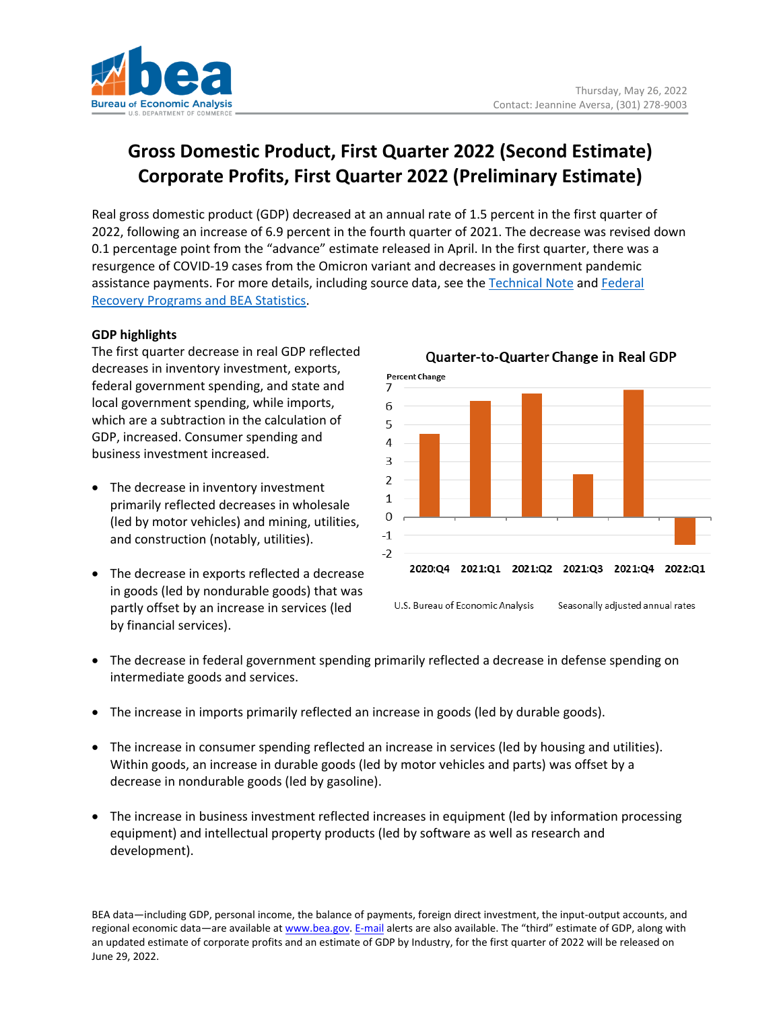

# **Gross Domestic Product, First Quarter 2022 (Second Estimate) Corporate Profits, First Quarter 2022 (Preliminary Estimate)**

Real gross domestic product (GDP) decreased at an annual rate of 1.5 percent in the first quarter of 2022, following an increase of 6.9 percent in the fourth quarter of 2021. The decrease was revised down 0.1 percentage point from the "advance" estimate released in April. In the first quarter, there was a resurgence of COVID-19 cases from the Omicron variant and decreases in government pandemic assistance payments. For more details, including source data, see the [Technical Note](https://www.bea.gov/sites/default/files/2022-05/tech1q22_2nd.pdf) and Federal [Recovery Programs and BEA Statistics.](http://www.bea.gov/recovery)

# **GDP highlights**

The first quarter decrease in real GDP reflected decreases in inventory investment, exports, federal government spending, and state and local government spending, while imports, which are a subtraction in the calculation of GDP, increased. Consumer spending and business investment increased.

- The decrease in inventory investment primarily reflected decreases in wholesale (led by motor vehicles) and mining, utilities, and construction (notably, utilities).
- The decrease in exports reflected a decrease in goods (led by nondurable goods) that was partly offset by an increase in services (led by financial services).



# Quarter-to-Quarter Change in Real GDP

- The decrease in federal government spending primarily reflected a decrease in defense spending on intermediate goods and services.
- The increase in imports primarily reflected an increase in goods (led by durable goods).
- The increase in consumer spending reflected an increase in services (led by housing and utilities). Within goods, an increase in durable goods (led by motor vehicles and parts) was offset by a decrease in nondurable goods (led by gasoline).
- The increase in business investment reflected increases in equipment (led by information processing equipment) and intellectual property products (led by software as well as research and development).

BEA data—including GDP, personal income, the balance of payments, foreign direct investment, the input-output accounts, and regional economic data—are available a[t www.bea.gov.](http://www.bea.gov/) [E-mail](https://www.bea.gov/_subscribe/) alerts are also available. The "third" estimate of GDP, along with an updated estimate of corporate profits and an estimate of GDP by Industry, for the first quarter of 2022 will be released on June 29, 2022.